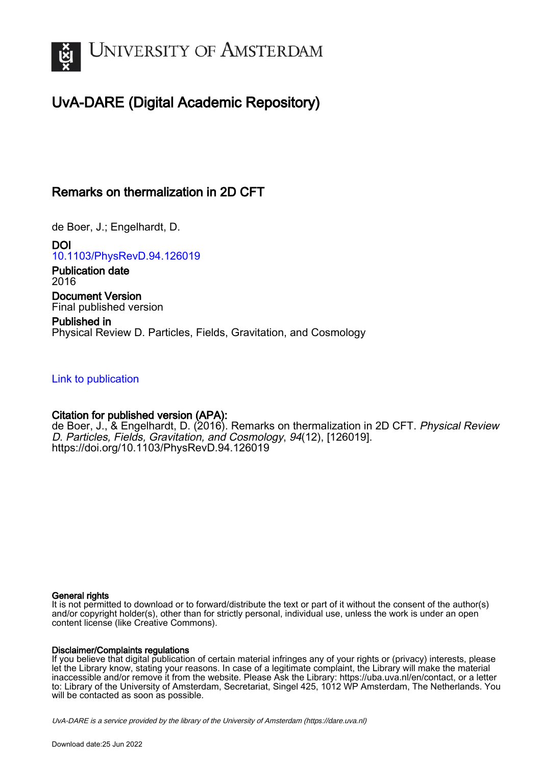

# UvA-DARE (Digital Academic Repository)

## Remarks on thermalization in 2D CFT

de Boer, J.; Engelhardt, D.

DOI [10.1103/PhysRevD.94.126019](https://doi.org/10.1103/PhysRevD.94.126019)

Publication date 2016 Document Version

Final published version

Published in Physical Review D. Particles, Fields, Gravitation, and Cosmology

[Link to publication](https://dare.uva.nl/personal/pure/en/publications/remarks-on-thermalization-in-2d-cft(e18255ab-fc8a-4ac2-921e-fed25292ed52).html)

## Citation for published version (APA):

de Boer, J., & Engelhardt, D. (2016). Remarks on thermalization in 2D CFT. Physical Review D. Particles, Fields, Gravitation, and Cosmology, 94(12), [126019]. <https://doi.org/10.1103/PhysRevD.94.126019>

## General rights

It is not permitted to download or to forward/distribute the text or part of it without the consent of the author(s) and/or copyright holder(s), other than for strictly personal, individual use, unless the work is under an open content license (like Creative Commons).

## Disclaimer/Complaints regulations

If you believe that digital publication of certain material infringes any of your rights or (privacy) interests, please let the Library know, stating your reasons. In case of a legitimate complaint, the Library will make the material inaccessible and/or remove it from the website. Please Ask the Library: https://uba.uva.nl/en/contact, or a letter to: Library of the University of Amsterdam, Secretariat, Singel 425, 1012 WP Amsterdam, The Netherlands. You will be contacted as soon as possible.

UvA-DARE is a service provided by the library of the University of Amsterdam (http*s*://dare.uva.nl)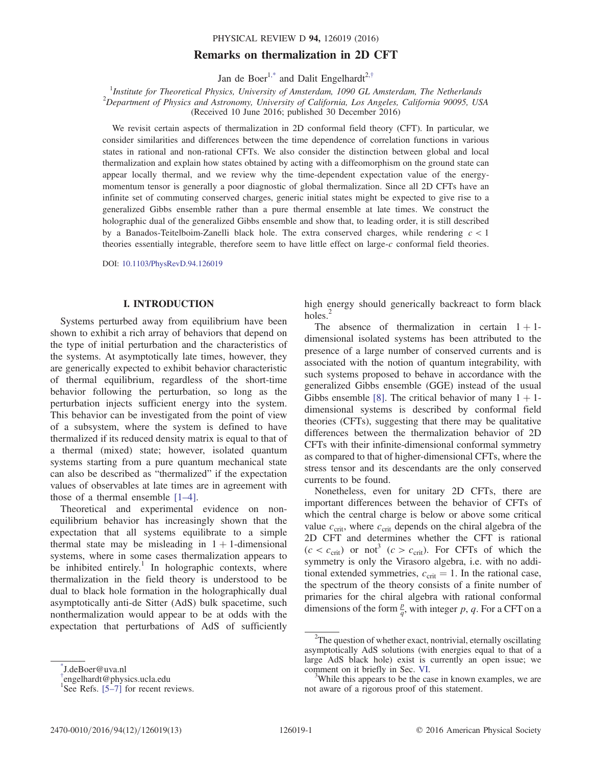## Remarks on thermalization in 2D CFT

Jan de Boer<sup>[1,\\*](#page-1-0)</sup> and Dalit Engelhardt<sup>2,[†](#page-1-1)</sup>

<span id="page-1-2"></span><sup>1</sup>Institute for Theoretical Physics, University of Amsterdam, 1090 GL Amsterdam, The Netherlands <sup>2</sup>Department of Physics and Astronomy, University of California, Los Angeles, California 90095, USA (Received 10 June 2016; published 30 December 2016)

We revisit certain aspects of thermalization in 2D conformal field theory (CFT). In particular, we consider similarities and differences between the time dependence of correlation functions in various states in rational and non-rational CFTs. We also consider the distinction between global and local thermalization and explain how states obtained by acting with a diffeomorphism on the ground state can appear locally thermal, and we review why the time-dependent expectation value of the energymomentum tensor is generally a poor diagnostic of global thermalization. Since all 2D CFTs have an infinite set of commuting conserved charges, generic initial states might be expected to give rise to a generalized Gibbs ensemble rather than a pure thermal ensemble at late times. We construct the holographic dual of the generalized Gibbs ensemble and show that, to leading order, it is still described by a Banados-Teitelboim-Zanelli black hole. The extra conserved charges, while rendering  $c < 1$ theories essentially integrable, therefore seem to have little effect on large-c conformal field theories.

DOI: [10.1103/PhysRevD.94.126019](http://dx.doi.org/10.1103/PhysRevD.94.126019)

#### I. INTRODUCTION

Systems perturbed away from equilibrium have been shown to exhibit a rich array of behaviors that depend on the type of initial perturbation and the characteristics of the systems. At asymptotically late times, however, they are generically expected to exhibit behavior characteristic of thermal equilibrium, regardless of the short-time behavior following the perturbation, so long as the perturbation injects sufficient energy into the system. This behavior can be investigated from the point of view of a subsystem, where the system is defined to have thermalized if its reduced density matrix is equal to that of a thermal (mixed) state; however, isolated quantum systems starting from a pure quantum mechanical state can also be described as "thermalized" if the expectation values of observables at late times are in agreement with those of a thermal ensemble [1–[4\].](#page-12-0)

Theoretical and experimental evidence on nonequilibrium behavior has increasingly shown that the expectation that all systems equilibrate to a simple thermal state may be misleading in  $1 + 1$ -dimensional systems, where in some cases thermalization appears to be inhibited entirely.<sup>1</sup> In holographic contexts, where thermalization in the field theory is understood to be dual to black hole formation in the holographically dual asymptotically anti-de Sitter (AdS) bulk spacetime, such nonthermalization would appear to be at odds with the expectation that perturbations of AdS of sufficiently

high energy should generically backreact to form black holes.<sup>2</sup>

The absence of thermalization in certain  $1 + 1$ dimensional isolated systems has been attributed to the presence of a large number of conserved currents and is associated with the notion of quantum integrability, with such systems proposed to behave in accordance with the generalized Gibbs ensemble (GGE) instead of the usual Gibbs ensemble [\[8\].](#page-12-1) The critical behavior of many  $1 + 1$ dimensional systems is described by conformal field theories (CFTs), suggesting that there may be qualitative differences between the thermalization behavior of 2D CFTs with their infinite-dimensional conformal symmetry as compared to that of higher-dimensional CFTs, where the stress tensor and its descendants are the only conserved currents to be found.

Nonetheless, even for unitary 2D CFTs, there are important differences between the behavior of CFTs of which the central charge is below or above some critical value  $c_{\text{crit}}$ , where  $c_{\text{crit}}$  depends on the chiral algebra of the 2D CFT and determines whether the CFT is rational  $(c < c<sub>crit</sub>)$  or not<sup>3</sup>  $(c > c<sub>crit</sub>)$ . For CFTs of which the symmetry is only the Virasoro algebra, i.e. with no additional extended symmetries,  $c_{\text{crit}} = 1$ . In the rational case, the spectrum of the theory consists of a finite number of primaries for the chiral algebra with rational conformal dimensions of the form  $\frac{p}{q}$ , with integer p, q. For a CFT on a

<span id="page-1-0"></span>[<sup>\\*</sup>](#page-1-2) J.deBoer@uva.nl

<span id="page-1-1"></span>[<sup>†</sup>](#page-1-2) engelhardt@physics.ucla.edu

<sup>&</sup>lt;sup>1</sup>See Refs.  $[5-7]$  $[5-7]$  for recent reviews.

<sup>&</sup>lt;sup>2</sup>The question of whether exact, nontrivial, eternally oscillating asymptotically AdS solutions (with energies equal to that of a large AdS black hole) exist is currently an open issue; we comment on it briefly in Sec. [VI.](#page-11-0)

<sup>&</sup>lt;sup>3</sup>While this appears to be the case in known examples, we are not aware of a rigorous proof of this statement.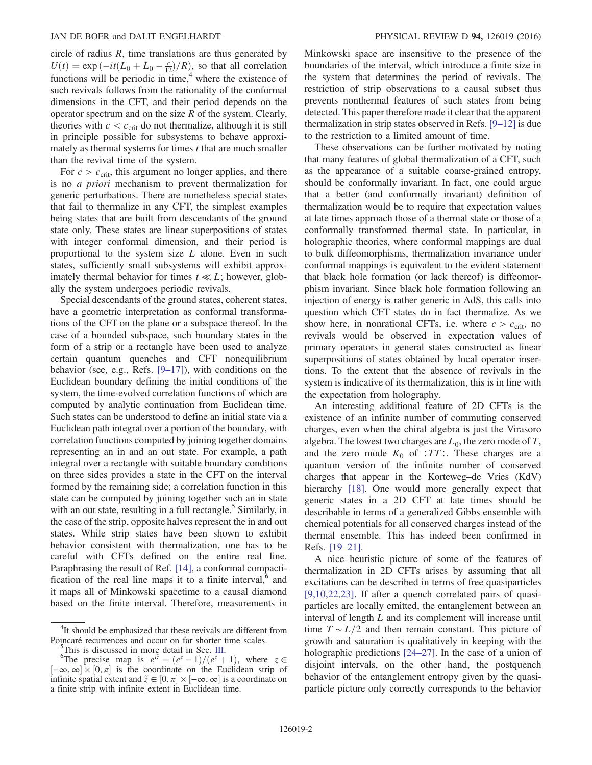circle of radius  $R$ , time translations are thus generated by  $U(t) = \exp(-it(L_0 + \bar{L}_0 - \frac{c}{12})/R)$ , so that all correlation<br>functions will be periodic in time <sup>4</sup> where the existence of functions will be periodic in time, $4$  where the existence of such revivals follows from the rationality of the conformal dimensions in the CFT, and their period depends on the operator spectrum and on the size  $R$  of the system. Clearly, theories with  $c < c_{\text{crit}}$  do not thermalize, although it is still in principle possible for subsystems to behave approximately as thermal systems for times  $t$  that are much smaller than the revival time of the system.

For  $c > c_{\text{crit}}$ , this argument no longer applies, and there is no a priori mechanism to prevent thermalization for generic perturbations. There are nonetheless special states that fail to thermalize in any CFT, the simplest examples being states that are built from descendants of the ground state only. These states are linear superpositions of states with integer conformal dimension, and their period is proportional to the system size  $L$  alone. Even in such states, sufficiently small subsystems will exhibit approximately thermal behavior for times  $t \ll L$ ; however, globally the system undergoes periodic revivals.

Special descendants of the ground states, coherent states, have a geometric interpretation as conformal transformations of the CFT on the plane or a subspace thereof. In the case of a bounded subspace, such boundary states in the form of a strip or a rectangle have been used to analyze certain quantum quenches and CFT nonequilibrium behavior (see, e.g., Refs. [9–[17\]](#page-12-3)), with conditions on the Euclidean boundary defining the initial conditions of the system, the time-evolved correlation functions of which are computed by analytic continuation from Euclidean time. Such states can be understood to define an initial state via a Euclidean path integral over a portion of the boundary, with correlation functions computed by joining together domains representing an in and an out state. For example, a path integral over a rectangle with suitable boundary conditions on three sides provides a state in the CFT on the interval formed by the remaining side; a correlation function in this state can be computed by joining together such an in state with an out state, resulting in a full rectangle.<sup>5</sup> Similarly, in the case of the strip, opposite halves represent the in and out states. While strip states have been shown to exhibit behavior consistent with thermalization, one has to be careful with CFTs defined on the entire real line. Paraphrasing the result of Ref. [\[14\]](#page-12-4), a conformal compactification of the real line maps it to a finite interval, $6$  and it maps all of Minkowski spacetime to a causal diamond based on the finite interval. Therefore, measurements in

Minkowski space are insensitive to the presence of the boundaries of the interval, which introduce a finite size in the system that determines the period of revivals. The restriction of strip observations to a causal subset thus prevents nonthermal features of such states from being detected. This paper therefore made it clear that the apparent thermalization in strip states observed in Refs. [9–[12\]](#page-12-3) is due to the restriction to a limited amount of time.

These observations can be further motivated by noting that many features of global thermalization of a CFT, such as the appearance of a suitable coarse-grained entropy, should be conformally invariant. In fact, one could argue that a better (and conformally invariant) definition of thermalization would be to require that expectation values at late times approach those of a thermal state or those of a conformally transformed thermal state. In particular, in holographic theories, where conformal mappings are dual to bulk diffeomorphisms, thermalization invariance under conformal mappings is equivalent to the evident statement that black hole formation (or lack thereof) is diffeomorphism invariant. Since black hole formation following an injection of energy is rather generic in AdS, this calls into question which CFT states do in fact thermalize. As we show here, in nonrational CFTs, i.e. where  $c > c_{\text{crit}}$ , no revivals would be observed in expectation values of primary operators in general states constructed as linear superpositions of states obtained by local operator insertions. To the extent that the absence of revivals in the system is indicative of its thermalization, this is in line with the expectation from holography.

An interesting additional feature of 2D CFTs is the existence of an infinite number of commuting conserved charges, even when the chiral algebra is just the Virasoro algebra. The lowest two charges are  $L_0$ , the zero mode of T, and the zero mode  $K_0$  of : $TT$ :. These charges are a quantum version of the infinite number of conserved charges that appear in the Korteweg–de Vries (KdV) hierarchy [\[18\]](#page-12-5). One would more generally expect that generic states in a 2D CFT at late times should be describable in terms of a generalized Gibbs ensemble with chemical potentials for all conserved charges instead of the thermal ensemble. This has indeed been confirmed in Refs. [\[19](#page-12-6)–21].

A nice heuristic picture of some of the features of thermalization in 2D CFTs arises by assuming that all excitations can be described in terms of free quasiparticles [\[9,10,22,23\]](#page-12-3). If after a quench correlated pairs of quasiparticles are locally emitted, the entanglement between an interval of length L and its complement will increase until time  $T \sim L/2$  and then remain constant. This picture of growth and saturation is qualitatively in keeping with the holographic predictions [\[24](#page-12-7)–27]. In the case of a union of disjoint intervals, on the other hand, the postquench behavior of the entanglement entropy given by the quasiparticle picture only correctly corresponds to the behavior

<sup>&</sup>lt;sup>4</sup>It should be emphasized that these revivals are different from Poincaré recurrences and occur on far shorter time scales.

This is discussed in more detail in Sec. [III](#page-5-0). <sup>6</sup>

<sup>&</sup>lt;sup>6</sup>The precise map is  $e^{i\tilde{z}} = (e^z - 1)/(e^z + 1)$ , where  $z \in$  $[-\infty, \infty] \times [0, \pi]$  is the coordinate on the Euclidean strip of infinite spatial extent and  $\tilde{z} \in [0, \pi] \times [-\infty, \infty]$  is a coordinate on infinite spatial extent and  $\tilde{z} \in [0, \pi] \times [-\infty, \infty]$  is a coordinate on a finite strip with infinite extent in Euclidean time. a finite strip with infinite extent in Euclidean time.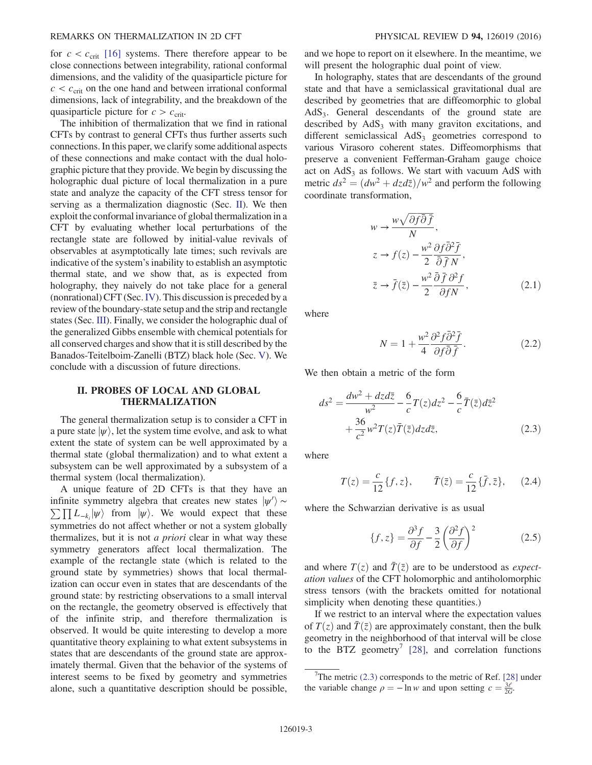for  $c < c_{\text{crit}}$  [\[16\]](#page-12-8) systems. There therefore appear to be close connections between integrability, rational conformal dimensions, and the validity of the quasiparticle picture for  $c < c<sub>crit</sub>$  on the one hand and between irrational conformal dimensions, lack of integrability, and the breakdown of the quasiparticle picture for  $c > c_{\text{crit}}$ .

The inhibition of thermalization that we find in rational CFTs by contrast to general CFTs thus further asserts such connections. In this paper, we clarify some additional aspects of these connections and make contact with the dual holographic picture that they provide. We begin by discussing the holographic dual picture of local thermalization in a pure state and analyze the capacity of the CFT stress tensor for serving as a thermalization diagnostic (Sec. [II\)](#page-3-0). We then exploit the conformal invariance of global thermalization in a CFT by evaluating whether local perturbations of the rectangle state are followed by initial-value revivals of observables at asymptotically late times; such revivals are indicative of the system's inability to establish an asymptotic thermal state, and we show that, as is expected from holography, they naively do not take place for a general (nonrational) CFT (Sec.[IV](#page-7-0)). This discussion is preceded by a review of the boundary-state setup and the strip and rectangle states (Sec. [III\)](#page-5-0). Finally, we consider the holographic dual of the generalized Gibbs ensemble with chemical potentials for all conserved charges and show that it is still described by the Banados-Teitelboim-Zanelli (BTZ) black hole (Sec. [V\)](#page-9-0). We conclude with a discussion of future directions.

## <span id="page-3-0"></span>II. PROBES OF LOCAL AND GLOBAL THERMALIZATION

The general thermalization setup is to consider a CFT in a pure state  $|\psi\rangle$ , let the system time evolve, and ask to what extent the state of system can be well approximated by a thermal state (global thermalization) and to what extent a subsystem can be well approximated by a subsystem of a thermal system (local thermalization).

A unique feature of 2D CFTs is that they have an infinite symmetry algebra that creates new states  $|\psi'\rangle \sim$ <br> $\nabla \Pi I_{\psi} |\psi\rangle$  from  $|\psi\rangle$ . We would expect that these  $\sum \prod L_{-k_i} |\psi\rangle$  from  $|\psi\rangle$ . We would expect that these symmetries do not affect whether or not a system globally thermalizes, but it is not a priori clear in what way these symmetry generators affect local thermalization. The example of the rectangle state (which is related to the ground state by symmetries) shows that local thermalization can occur even in states that are descendants of the ground state: by restricting observations to a small interval on the rectangle, the geometry observed is effectively that of the infinite strip, and therefore thermalization is observed. It would be quite interesting to develop a more quantitative theory explaining to what extent subsystems in states that are descendants of the ground state are approximately thermal. Given that the behavior of the systems of interest seems to be fixed by geometry and symmetries alone, such a quantitative description should be possible, and we hope to report on it elsewhere. In the meantime, we will present the holographic dual point of view.

In holography, states that are descendants of the ground state and that have a semiclassical gravitational dual are described by geometries that are diffeomorphic to global  $AdS<sub>3</sub>$ . General descendants of the ground state are described by  $AdS<sub>3</sub>$  with many graviton excitations, and different semiclassical  $AdS<sub>3</sub>$  geometries correspond to various Virasoro coherent states. Diffeomorphisms that preserve a convenient Fefferman-Graham gauge choice act on  $AdS<sub>3</sub>$  as follows. We start with vacuum AdS with metric  $ds^2 = (dw^2 + dz d\overline{z})/w^2$  and perform the following coordinate transformation,

$$
w \to \frac{w\sqrt{\partial f \overline{\partial} f}}{N},
$$
  
\n
$$
z \to f(z) - \frac{w^2}{2} \frac{\partial f \overline{\partial}^2 \overline{f}}{\overline{\partial} \overline{f} N},
$$
  
\n
$$
\overline{z} \to \overline{f}(\overline{z}) - \frac{w^2}{2} \frac{\overline{\partial} \overline{f} \partial^2 f}{\partial f N},
$$
\n(2.1)

where

$$
N = 1 + \frac{w^2}{4} \frac{\partial^2 f \bar{\partial}^2 \bar{f}}{\partial f \bar{\partial} \bar{f}}.
$$
 (2.2)

<span id="page-3-1"></span>We then obtain a metric of the form

$$
ds^2 = \frac{dw^2 + dzd\overline{z}}{w^2} - \frac{6}{c}T(z)dz^2 - \frac{6}{c}\overline{T}(\overline{z})d\overline{z}^2
$$

$$
+ \frac{36}{c^2}w^2T(z)\overline{T}(\overline{z})dzd\overline{z},
$$
(2.3)

where

$$
T(z) = \frac{c}{12} \{f, z\}, \qquad \bar{T}(\bar{z}) = \frac{c}{12} \{\bar{f}, \bar{z}\}, \qquad (2.4)
$$

where the Schwarzian derivative is as usual

$$
\{f,z\} = \frac{\partial^3 f}{\partial f} - \frac{3}{2} \left(\frac{\partial^2 f}{\partial f}\right)^2 \tag{2.5}
$$

and where  $T(z)$  and  $\overline{T}(\overline{z})$  are to be understood as *expect*ation values of the CFT holomorphic and antiholomorphic stress tensors (with the brackets omitted for notational simplicity when denoting these quantities.)

If we restrict to an interval where the expectation values of  $T(z)$  and  $\overline{T}(\overline{z})$  are approximately constant, then the bulk geometry in the neighborhood of that interval will be close to the BTZ geometry<sup>7</sup> [\[28\]](#page-12-9), and correlation functions

<sup>&</sup>lt;sup>7</sup>The metric  $(2.3)$  corresponds to the metric of Ref. [\[28\]](#page-12-9) under the variable change  $\rho = -\ln w$  and upon setting  $c = \frac{3\ell}{2G}$ .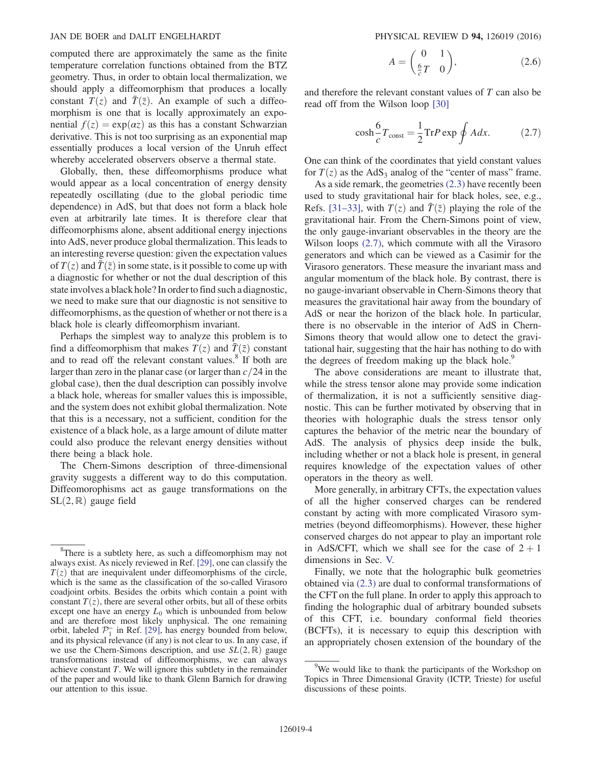computed there are approximately the same as the finite temperature correlation functions obtained from the BTZ geometry. Thus, in order to obtain local thermalization, we should apply a diffeomorphism that produces a locally constant  $T(z)$  and  $\overline{T}(\overline{z})$ . An example of such a diffeomorphism is one that is locally approximately an exponential  $f(z) = \exp(\alpha z)$  as this has a constant Schwarzian derivative. This is not too surprising as an exponential map essentially produces a local version of the Unruh effect whereby accelerated observers observe a thermal state.

Globally, then, these diffeomorphisms produce what would appear as a local concentration of energy density repeatedly oscillating (due to the global periodic time dependence) in AdS, but that does not form a black hole even at arbitrarily late times. It is therefore clear that diffeomorphisms alone, absent additional energy injections into AdS, never produce global thermalization. This leads to an interesting reverse question: given the expectation values of  $T(z)$  and  $\overline{T}(\overline{z})$  in some state, is it possible to come up with a diagnostic for whether or not the dual description of this state involves a black hole? In order to find such a diagnostic, we need to make sure that our diagnostic is not sensitive to diffeomorphisms, as the question of whether or not there is a black hole is clearly diffeomorphism invariant.

Perhaps the simplest way to analyze this problem is to find a diffeomorphism that makes  $T(z)$  and  $\overline{T}(\overline{z})$  constant and to read off the relevant constant values.<sup>8</sup> If both are larger than zero in the planar case (or larger than  $c/24$  in the global case), then the dual description can possibly involve a black hole, whereas for smaller values this is impossible, and the system does not exhibit global thermalization. Note that this is a necessary, not a sufficient, condition for the existence of a black hole, as a large amount of dilute matter could also produce the relevant energy densities without there being a black hole.

The Chern-Simons description of three-dimensional gravity suggests a different way to do this computation. Diffeomorophisms act as gauge transformations on the  $SL(2,\mathbb{R})$  gauge field

$$
A = \begin{pmatrix} 0 & 1 \\ \frac{6}{c}T & 0 \end{pmatrix}, \tag{2.6}
$$

<span id="page-4-0"></span>and therefore the relevant constant values of T can also be read off from the Wilson loop [\[30\]](#page-12-10)

$$
\cosh\frac{6}{c}T_{\text{const}} = \frac{1}{2}\text{Tr}P\exp\oint A dx. \tag{2.7}
$$

One can think of the coordinates that yield constant values for  $T(z)$  as the AdS<sub>3</sub> analog of the "center of mass" frame.

As a side remark, the geometries [\(2.3\)](#page-3-1) have recently been used to study gravitational hair for black holes, see, e.g., Refs. [\[31](#page-12-11)–33], with  $T(z)$  and  $\overline{T}(\overline{z})$  playing the role of the gravitational hair. From the Chern-Simons point of view, the only gauge-invariant observables in the theory are the Wilson loops [\(2.7\),](#page-4-0) which commute with all the Virasoro generators and which can be viewed as a Casimir for the Virasoro generators. These measure the invariant mass and angular momentum of the black hole. By contrast, there is no gauge-invariant observable in Chern-Simons theory that measures the gravitational hair away from the boundary of AdS or near the horizon of the black hole. In particular, there is no observable in the interior of AdS in Chern-Simons theory that would allow one to detect the gravitational hair, suggesting that the hair has nothing to do with the degrees of freedom making up the black hole.<sup>9</sup>

The above considerations are meant to illustrate that, while the stress tensor alone may provide some indication of thermalization, it is not a sufficiently sensitive diagnostic. This can be further motivated by observing that in theories with holographic duals the stress tensor only captures the behavior of the metric near the boundary of AdS. The analysis of physics deep inside the bulk, including whether or not a black hole is present, in general requires knowledge of the expectation values of other operators in the theory as well.

More generally, in arbitrary CFTs, the expectation values of all the higher conserved charges can be rendered constant by acting with more complicated Virasoro symmetries (beyond diffeomorphisms). However, these higher conserved charges do not appear to play an important role in AdS/CFT, which we shall see for the case of  $2 + 1$ dimensions in Sec. [V.](#page-9-0)

Finally, we note that the holographic bulk geometries obtained via [\(2.3\)](#page-3-1) are dual to conformal transformations of the CFT on the full plane. In order to apply this approach to finding the holographic dual of arbitrary bounded subsets of this CFT, i.e. boundary conformal field theories (BCFTs), it is necessary to equip this description with an appropriately chosen extension of the boundary of the

<sup>&</sup>lt;sup>8</sup>There is a subtlety here, as such a diffeomorphism may not always exist. As nicely reviewed in Ref. [\[29\]](#page-12-12), one can classify the  $T(z)$  that are inequivalent under diffeomorphisms of the circle, which is the same as the classification of the so-called Virasoro coadjoint orbits. Besides the orbits which contain a point with constant  $T(z)$ , there are several other orbits, but all of these orbits except one have an energy  $L_0$  which is unbounded from below and are therefore most likely unphysical. The one remaining orbit, labeled  $\mathcal{P}_1^-$  in Ref. [\[29\],](#page-12-12) has energy bounded from below, and its physical relevance (if any) is not clear to us. In any case, if we use the Chern-Simons description, and use  $SL(2,\mathbb{R})$  gauge transformations instead of diffeomorphisms, we can always achieve constant T. We will ignore this subtlety in the remainder of the paper and would like to thank Glenn Barnich for drawing our attention to this issue.

<sup>&</sup>lt;sup>9</sup>We would like to thank the participants of the Workshop on Topics in Three Dimensional Gravity (ICTP, Trieste) for useful discussions of these points.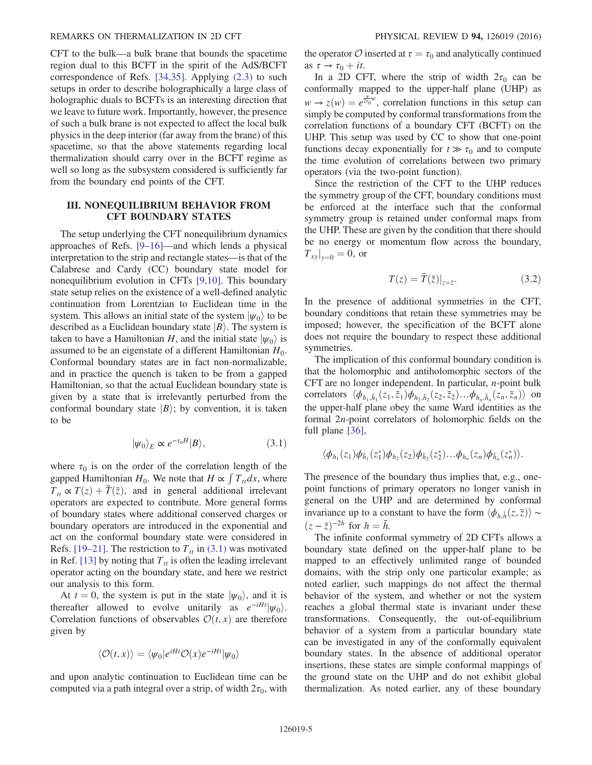CFT to the bulk—a bulk brane that bounds the spacetime region dual to this BCFT in the spirit of the AdS/BCFT correspondence of Refs. [\[34,35\].](#page-12-13) Applying [\(2.3\)](#page-3-1) to such setups in order to describe holographically a large class of holographic duals to BCFTs is an interesting direction that we leave to future work. Importantly, however, the presence of such a bulk brane is not expected to affect the local bulk physics in the deep interior (far away from the brane) of this spacetime, so that the above statements regarding local thermalization should carry over in the BCFT regime as well so long as the subsystem considered is sufficiently far from the boundary end points of the CFT.

### <span id="page-5-0"></span>III. NONEQUILIBRIUM BEHAVIOR FROM CFT BOUNDARY STATES

The setup underlying the CFT nonequilibrium dynamics approaches of Refs. [9–[16\]](#page-12-3)—and which lends a physical interpretation to the strip and rectangle states—is that of the Calabrese and Cardy (CC) boundary state model for nonequilibrium evolution in CFTs [\[9,10\]](#page-12-3). This boundary state setup relies on the existence of a well-defined analytic continuation from Lorentzian to Euclidean time in the system. This allows an initial state of the system  $|\psi_0\rangle$  to be described as a Euclidean boundary state  $|B\rangle$ . The system is taken to have a Hamiltonian H, and the initial state  $|\psi_0\rangle$  is assumed to be an eigenstate of a different Hamiltonian  $H_0$ . Conformal boundary states are in fact non-normalizable, and in practice the quench is taken to be from a gapped Hamiltonian, so that the actual Euclidean boundary state is given by a state that is irrelevantly perturbed from the conformal boundary state  $|B\rangle$ ; by convention, it is taken to be

$$
|\psi_0\rangle_E \propto e^{-\tau_0 H} |B\rangle, \qquad (3.1)
$$

<span id="page-5-1"></span>where  $\tau_0$  is on the order of the correlation length of the gapped Hamiltonian  $H_0$ . We note that  $H \propto \int T_u dx$ , where  $T_t \propto T(z) + \overline{T}(\overline{z})$ , and in general additional irrelevant operators are expected to contribute. More general forms of boundary states where additional conserved charges or boundary operators are introduced in the exponential and act on the conformal boundary state were considered in Refs. [\[19](#page-12-6)–21]. The restriction to  $T<sub>tt</sub>$  in [\(3.1\)](#page-5-1) was motivated in Ref. [\[13\]](#page-12-14) by noting that  $T<sub>tt</sub>$  is often the leading irrelevant operator acting on the boundary state, and here we restrict our analysis to this form.

At  $t = 0$ , the system is put in the state  $|\psi_0\rangle$ , and it is thereafter allowed to evolve unitarily as  $e^{-iHt}|\psi_0\rangle$ . Correlation functions of observables  $\mathcal{O}(t, x)$  are therefore given by

$$
\langle \mathcal{O}(t,x) \rangle = \langle \psi_0 | e^{iHt} \mathcal{O}(x) e^{-iHt} | \psi_0 \rangle
$$

and upon analytic continuation to Euclidean time can be computed via a path integral over a strip, of width  $2\tau_0$ , with the operator O inserted at  $\tau = \tau_0$  and analytically continued as  $\tau \to \tau_0 + it$ .

In a 2D CFT, where the strip of width  $2\tau_0$  can be conformally mapped to the upper-half plane (UHP) as  $w \rightarrow z(w) = e^{\frac{\pi}{2\tau_0}w}$ , correlation functions in this setup can<br>simply be computed by conformal transformations from the simply be computed by conformal transformations from the correlation functions of a boundary CFT (BCFT) on the UHP. This setup was used by CC to show that one-point functions decay exponentially for  $t \gg \tau_0$  and to compute the time evolution of correlations between two primary operators (via the two-point function).

Since the restriction of the CFT to the UHP reduces the symmetry group of the CFT, boundary conditions must be enforced at the interface such that the conformal symmetry group is retained under conformal maps from the UHP. These are given by the condition that there should be no energy or momentum flow across the boundary,  $T_{xy}|_{y=0} = 0$ , or

$$
T(z) = \overline{T}(\overline{z})|_{z=\overline{z}}.\tag{3.2}
$$

In the presence of additional symmetries in the CFT, boundary conditions that retain these symmetries may be imposed; however, the specification of the BCFT alone does not require the boundary to respect these additional symmetries.

The implication of this conformal boundary condition is that the holomorphic and antiholomorphic sectors of the CFT are no longer independent. In particular, n-point bulk correlators  $\langle \phi_{h_1, \bar{h}_1}(z_1, \bar{z}_1) \phi_{h_2, \bar{h}_2}(z_2, \bar{z}_2) \dots \phi_{h_n, \bar{h}_n}(z_n, \bar{z}_n) \rangle$  on the upper-half plane obey the same Ward identities as the formal 2n-point correlators of holomorphic fields on the full plane [\[36\]](#page-12-15),

$$
\langle \phi_{h_1}(z_1)\phi_{\bar{h}_1}(z_1^*)\phi_{h_2}(z_2)\phi_{\bar{h}_2}(z_2^*)...\phi_{h_n}(z_n)\phi_{\bar{h}_n}(z_n^*)\rangle.
$$

The presence of the boundary thus implies that, e.g., onepoint functions of primary operators no longer vanish in general on the UHP and are determined by conformal invariance up to a constant to have the form  $\langle \phi_{h,\bar{h}}(z,\bar{z}) \rangle \sim$  $(z - \bar{z})^{-2h}$  for  $h = \bar{h}$ .

The infinite conformal symmetry of 2D CFTs allows a boundary state defined on the upper-half plane to be mapped to an effectively unlimited range of bounded domains, with the strip only one particular example; as noted earlier, such mappings do not affect the thermal behavior of the system, and whether or not the system reaches a global thermal state is invariant under these transformations. Consequently, the out-of-equilibrium behavior of a system from a particular boundary state can be investigated in any of the conformally equivalent boundary states. In the absence of additional operator insertions, these states are simple conformal mappings of the ground state on the UHP and do not exhibit global thermalization. As noted earlier, any of these boundary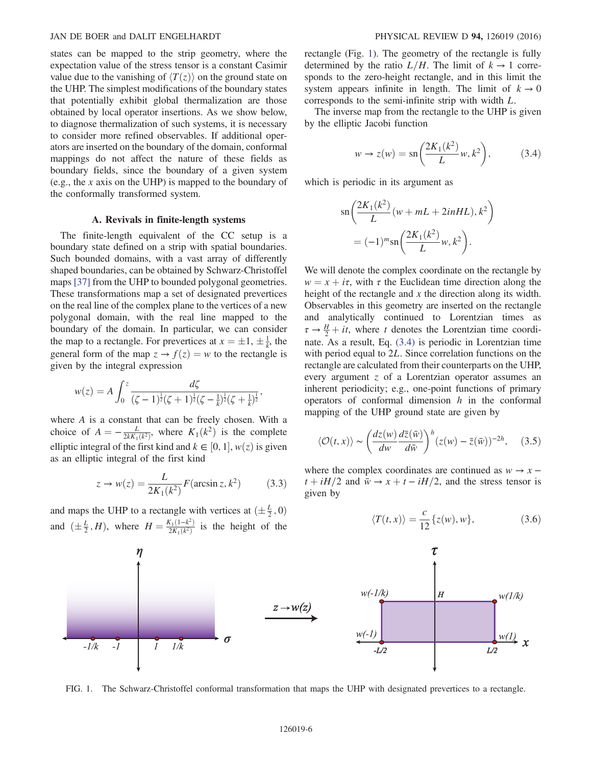states can be mapped to the strip geometry, where the expectation value of the stress tensor is a constant Casimir value due to the vanishing of  $\langle T(z) \rangle$  on the ground state on the UHP. The simplest modifications of the boundary states that potentially exhibit global thermalization are those obtained by local operator insertions. As we show below, to diagnose thermalization of such systems, it is necessary to consider more refined observables. If additional operators are inserted on the boundary of the domain, conformal mappings do not affect the nature of these fields as boundary fields, since the boundary of a given system (e.g., the x axis on the UHP) is mapped to the boundary of the conformally transformed system.

#### A. Revivals in finite-length systems

The finite-length equivalent of the CC setup is a boundary state defined on a strip with spatial boundaries. Such bounded domains, with a vast array of differently shaped boundaries, can be obtained by Schwarz-Christoffel maps [\[37\]](#page-12-16) from the UHP to bounded polygonal geometries. These transformations map a set of designated prevertices on the real line of the complex plane to the vertices of a new polygonal domain, with the real line mapped to the boundary of the domain. In particular, we can consider the map to a rectangle. For prevertices at  $x = \pm 1, \pm \frac{1}{k}$ , the general form of the map  $z \to f(z) = w$  to the rectangle is general form of the map  $z \rightarrow f(z) = w$  to the rectangle is given by the integral expression

$$
w(z) = A \int_0^z \frac{d\zeta}{(\zeta - 1)^{\frac{1}{2}}(\zeta + 1)^{\frac{1}{2}}(\zeta - \frac{1}{k})^{\frac{1}{2}}(\zeta + \frac{1}{k})^{\frac{1}{2}}},
$$

where A is a constant that can be freely chosen. With a choice of  $A = -\frac{L}{2kK_1(k^2)}$ , where  $K_1(k^2)$  is the complete elliptic integral of the first kind and  $k \in [0, 1]$ ,  $w(z)$  is given<br>as an elliptic integral of the first kind as an elliptic integral of the first kind

$$
z \to w(z) = \frac{L}{2K_1(k^2)} F(\arcsin z, k^2)
$$
 (3.3)

and maps the UHP to a rectangle with vertices at  $(\pm \frac{L}{2}, 0)$ and  $(\pm \frac{L}{2}, H)$ , where  $H = \frac{K_1(1 - k^2)}{2K_1(k^2)}$  is the height of the rectangle (Fig. [1\)](#page-6-0). The geometry of the rectangle is fully determined by the ratio  $L/H$ . The limit of  $k \to 1$  corresponds to the zero-height rectangle, and in this limit the system appears infinite in length. The limit of  $k \to 0$ corresponds to the semi-infinite strip with width L.

<span id="page-6-1"></span>The inverse map from the rectangle to the UHP is given by the elliptic Jacobi function

$$
w \to z(w) = \operatorname{sn}\left(\frac{2K_1(k^2)}{L}w, k^2\right),\tag{3.4}
$$

which is periodic in its argument as

$$
\operatorname{sn}\left(\frac{2K_1(k^2)}{L}(w+mL+2inHL), k^2\right)
$$

$$
=(-1)^m \operatorname{sn}\left(\frac{2K_1(k^2)}{L}w, k^2\right).
$$

We will denote the complex coordinate on the rectangle by  $w = x + i\tau$ , with  $\tau$  the Euclidean time direction along the height of the rectangle and  $x$  the direction along its width. Observables in this geometry are inserted on the rectangle and analytically continued to Lorentzian times as  $\tau \rightarrow \frac{H}{2} + it$ , where t denotes the Lorentzian time coordi-<br>nate As a result Eq. (3.4) is periodic in Lorentzian time nate. As a result, Eq. [\(3.4\)](#page-6-1) is periodic in Lorentzian time with period equal to 2L. Since correlation functions on the rectangle are calculated from their counterparts on the UHP, every argument z of a Lorentzian operator assumes an inherent periodicity; e.g., one-point functions of primary operators of conformal dimension  $h$  in the conformal mapping of the UHP ground state are given by

<span id="page-6-2"></span>
$$
\langle \mathcal{O}(t,x) \rangle \sim \left( \frac{dz(w)}{dw} \frac{d\bar{z}(\bar{w})}{d\bar{w}} \right)^h (z(w) - \bar{z}(\bar{w}))^{-2h}, \quad (3.5)
$$

<span id="page-6-3"></span>where the complex coordinates are continued as  $w \rightarrow x$  −  $t + iH/2$  and  $\bar{w} \rightarrow x + t - iH/2$ , and the stress tensor is given by

$$
\langle T(t,x) \rangle = \frac{c}{12} \{ z(w), w \},\tag{3.6}
$$

<span id="page-6-0"></span>

 $\tau$  $\overline{H}$  $w(1/k)$ 

FIG. 1. The Schwarz-Christoffel conformal transformation that maps the UHP with designated prevertices to a rectangle.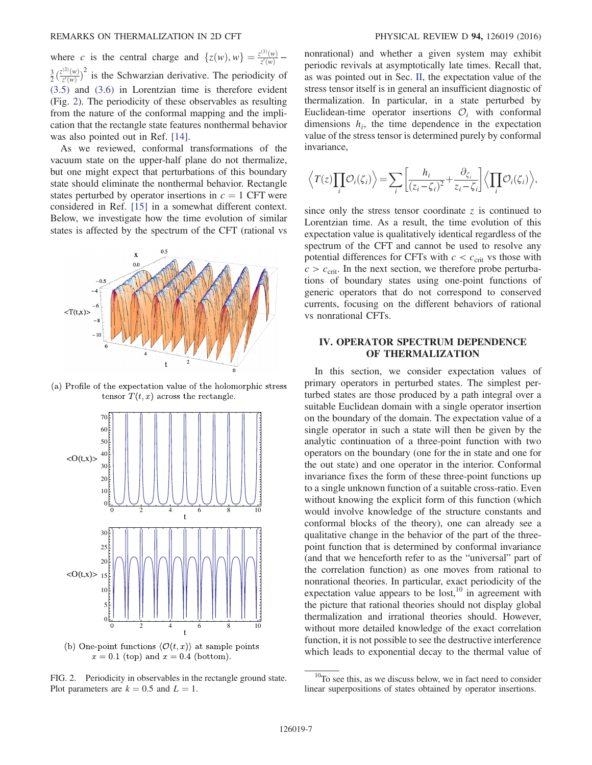where c is the central charge and  $\{z(w), w\} = \frac{z^{(3)}(w)}{z'(w)} \frac{3}{2}$   $\binom{3}{2}$  $\frac{z^{(2)}(w)}{z'(w)}$  $2^{2}$  is the Schwarzian derivative. The periodicity of [\(3.5\)](#page-6-2) and [\(3.6\)](#page-6-3) in Lorentzian time is therefore evident (Fig. [2\)](#page-7-1). The periodicity of these observables as resulting from the nature of the conformal mapping and the implication that the rectangle state features nonthermal behavior was also pointed out in Ref. [\[14\]](#page-12-4).

As we reviewed, conformal transformations of the vacuum state on the upper-half plane do not thermalize, but one might expect that perturbations of this boundary state should eliminate the nonthermal behavior. Rectangle states perturbed by operator insertions in  $c = 1$  CFT were considered in Ref. [\[15\]](#page-12-17) in a somewhat different context. Below, we investigate how the time evolution of similar states is affected by the spectrum of the CFT (rational vs

<span id="page-7-1"></span>

(a) Profile of the expectation value of the holomorphic stress tensor  $T(t, x)$  across the rectangle.



(b) One-point functions  $\langle \mathcal{O}(t,x) \rangle$  at sample points  $x = 0.1$  (top) and  $x = 0.4$  (bottom).



nonrational) and whether a given system may exhibit periodic revivals at asymptotically late times. Recall that, as was pointed out in Sec. [II,](#page-3-0) the expectation value of the stress tensor itself is in general an insufficient diagnostic of thermalization. In particular, in a state perturbed by Euclidean-time operator insertions  $\mathcal{O}_i$  with conformal dimensions  $h_i$ , the time dependence in the expectation value of the stress tensor is determined purely by conformal invariance,

$$
\left\langle T(z)\prod_i\mathcal{O}_i(\zeta_i)\right\rangle = \sum_i\left[\frac{h_i}{(z_i-\zeta_i)^2}+\frac{\partial_{\zeta_i}}{z_i-\zeta_i}\right]\left\langle\prod_i\mathcal{O}_i(\zeta_i)\right\rangle,
$$

since only the stress tensor coordinate  $\zeta$  is continued to Lorentzian time. As a result, the time evolution of this expectation value is qualitatively identical regardless of the spectrum of the CFT and cannot be used to resolve any potential differences for CFTs with  $c < c_{\rm crit}$  vs those with  $c > c_{\text{crit}}$ . In the next section, we therefore probe perturbations of boundary states using one-point functions of generic operators that do not correspond to conserved currents, focusing on the different behaviors of rational vs nonrational CFTs.

## <span id="page-7-0"></span>IV. OPERATOR SPECTRUM DEPENDENCE OF THERMALIZATION

In this section, we consider expectation values of primary operators in perturbed states. The simplest perturbed states are those produced by a path integral over a suitable Euclidean domain with a single operator insertion on the boundary of the domain. The expectation value of a single operator in such a state will then be given by the analytic continuation of a three-point function with two operators on the boundary (one for the in state and one for the out state) and one operator in the interior. Conformal invariance fixes the form of these three-point functions up to a single unknown function of a suitable cross-ratio. Even without knowing the explicit form of this function (which would involve knowledge of the structure constants and conformal blocks of the theory), one can already see a qualitative change in the behavior of the part of the threepoint function that is determined by conformal invariance (and that we henceforth refer to as the "universal" part of the correlation function) as one moves from rational to nonrational theories. In particular, exact periodicity of the expectation value appears to be  $lost<sub>10</sub>$  in agreement with the picture that rational theories should not display global thermalization and irrational theories should. However, without more detailed knowledge of the exact correlation function, it is not possible to see the destructive interference which leads to exponential decay to the thermal value of

 $10$ To see this, as we discuss below, we in fact need to consider linear superpositions of states obtained by operator insertions.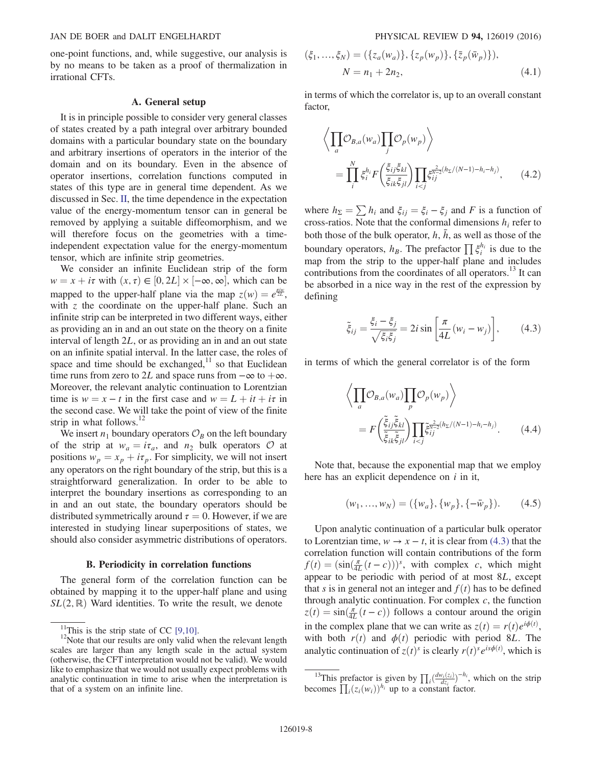one-point functions, and, while suggestive, our analysis is by no means to be taken as a proof of thermalization in irrational CFTs.

#### A. General setup

It is in principle possible to consider very general classes of states created by a path integral over arbitrary bounded domains with a particular boundary state on the boundary and arbitrary insertions of operators in the interior of the domain and on its boundary. Even in the absence of operator insertions, correlation functions computed in states of this type are in general time dependent. As we discussed in Sec. [II](#page-3-0), the time dependence in the expectation value of the energy-momentum tensor can in general be removed by applying a suitable diffeomorphism, and we will therefore focus on the geometries with a timeindependent expectation value for the energy-momentum tensor, which are infinite strip geometries.

We consider an infinite Euclidean strip of the form  $w = x + i\tau$  with  $(x, \tau) \in [0, 2L] \times [-\infty, \infty]$ , which can be meaned to the unper helf plane via the mean  $\tau(w) = e^{\frac{\pi i \tau}{2}}$ mapped to the upper-half plane via the map  $z(w) = e^{\frac{\pi i w}{2L}}$ , with z the coordinate on the upper-half plane. Such an infinite strip can be interpreted in two different ways, either as providing an in and an out state on the theory on a finite interval of length 2L, or as providing an in and an out state on an infinite spatial interval. In the latter case, the roles of space and time should be exchanged, $11$  so that Euclidean time runs from zero to 2L and space runs from  $-\infty$  to  $+\infty$ . Moreover, the relevant analytic continuation to Lorentzian time is  $w = x - t$  in the first case and  $w = L + it + i\tau$  in the second case. We will take the point of view of the finite strip in what follows. $12$ 

We insert  $n_1$  boundary operators  $\mathcal{O}_B$  on the left boundary of the strip at  $w_a = i\tau_a$ , and  $n_2$  bulk operators  $\mathcal O$  at positions  $w_p = x_p + i\tau_p$ . For simplicity, we will not insert any operators on the right boundary of the strip, but this is a straightforward generalization. In order to be able to interpret the boundary insertions as corresponding to an in and an out state, the boundary operators should be distributed symmetrically around  $\tau = 0$ . However, if we are interested in studying linear superpositions of states, we should also consider asymmetric distributions of operators.

#### B. Periodicity in correlation functions

The general form of the correlation function can be obtained by mapping it to the upper-half plane and using  $SL(2,\mathbb{R})$  Ward identities. To write the result, we denote

$$
(\xi_1, ..., \xi_N) = (\{z_a(w_a)\}, \{z_p(w_p)\}, \{\bar{z}_p(\bar{w}_p)\}),
$$
  

$$
N = n_1 + 2n_2,
$$
 (4.1)

in terms of which the correlator is, up to an overall constant factor,

$$
\left\langle \prod_{a} \mathcal{O}_{B,a}(w_a) \prod_{j} \mathcal{O}_p(w_p) \right\rangle
$$
\n
$$
= \prod_{i}^{N} \xi_i^{h_i} F\left(\frac{\xi_{ij} \xi_{kl}}{\xi_{ik} \xi_{jl}}\right) \prod_{i < j} \xi_{ij}^{\frac{2}{N-2}(h_{\Sigma}/(N-1) - h_i - h_j)}, \qquad (4.2)
$$

where  $h_{\Sigma} = \sum h_i$  and  $\xi_{ij} = \xi_i - \xi_j$  and F is a function of cross-ratios. Note that the conformal dimensions  $h_i$  refer to both those of the bulk operator,  $h$ ,  $\bar{h}$ , as well as those of the boundary operators,  $h_B$ . The prefactor  $\prod \xi_i^{h_i}$  is due to the map from the strip to the upper-half plane and includes contributions from the coordinates of all operators.<sup>13</sup> It can be absorbed in a nice way in the rest of the expression by defining

<span id="page-8-0"></span>
$$
\tilde{\xi}_{ij} = \frac{\xi_i - \xi_j}{\sqrt{\xi_i \xi_j}} = 2i \sin \left[ \frac{\pi}{4L} (w_i - w_j) \right],\tag{4.3}
$$

in terms of which the general correlator is of the form

$$
\left\langle \prod_{a} \mathcal{O}_{B,a}(w_a) \prod_{p} \mathcal{O}_p(w_p) \right\rangle
$$
\n
$$
= F\left(\frac{\tilde{\xi}_{ij}\tilde{\xi}_{kl}}{\tilde{\xi}_{ik}\tilde{\xi}_{jl}}\right) \prod_{i < j} \tilde{\xi}_{ij}^{\frac{2}{N-2}(h_{\Sigma}/(N-1)-h_i-h_j)}.
$$
\n(4.4)

Note that, because the exponential map that we employ here has an explicit dependence on  $i$  in it,

$$
(w_1, ..., w_N) = (\{w_a\}, \{w_p\}, \{-\bar{w}_p\}).
$$
 (4.5)

Upon analytic continuation of a particular bulk operator to Lorentzian time,  $w \to x - t$ , it is clear from [\(4.3\)](#page-8-0) that the correlation function will contain contributions of the form  $f(t) = (\sin(\frac{\pi}{4L}(t-c)))^s$ , with complex c, which might appear to be periodic with period of at most 8L, except that s is in general not an integer and  $f(t)$  has to be defined through analytic continuation. For complex  $c$ , the function  $z(t) = \sin(\frac{\pi}{4L}(t-c))$  follows a contour around the origin in the complex plane that we can write as  $z(t) = r(t)e^{i\phi(t)}$ ,<br>with both  $r(t)$  and  $\phi(t)$  periodic with period 8*I*. The with both  $r(t)$  and  $\phi(t)$  periodic with period 8L. The analytic continuation of  $z(t)$ <sup>s</sup> is clearly  $r(t)$ <sup>s</sup>  $e^{is\phi(t)}$ , which is

<sup>&</sup>lt;sup>11</sup>This is the strip state of CC [\[9,10\].](#page-12-3)<br><sup>12</sup>Note that our results are only valid when the relevant length scales are larger than any length scale in the actual system (otherwise, the CFT interpretation would not be valid). We would like to emphasize that we would not usually expect problems with analytic continuation in time to arise when the interpretation is that of a system on an infinite line.

<sup>&</sup>lt;sup>13</sup>This prefactor is given by  $\prod_i \left( \frac{dw_i(z_i)}{dz_i} \right)$ <br>comes  $\prod_i (z_i(w_i))^{h_i}$  up to a constant fa  $h_i$ , which on the strip becomes  $\prod_i (z_i(w_i))^{h_i}$  up to a constant factor.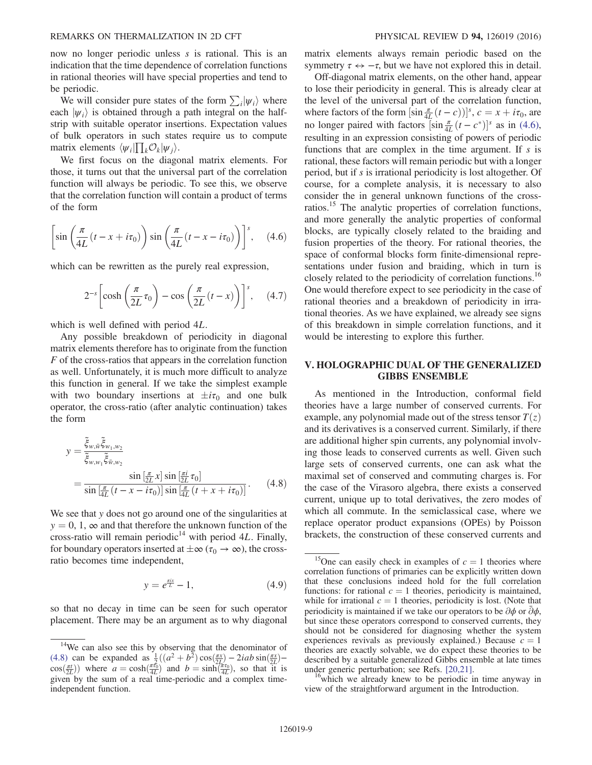now no longer periodic unless s is rational. This is an indication that the time dependence of correlation functions in rational theories will have special properties and tend to be periodic.

We will consider pure states of the form  $\sum_i |\psi_i\rangle$  where each  $|\psi_i\rangle$  is obtained through a path integral on the halfstrip with suitable operator insertions. Expectation values of bulk operators in such states require us to compute matrix elements  $\langle \psi_i | \prod_k O_k | \psi_j \rangle$ .<br>We first focus on the diago

We first focus on the diagonal matrix elements. For those, it turns out that the universal part of the correlation function will always be periodic. To see this, we observe that the correlation function will contain a product of terms of the form

<span id="page-9-1"></span>
$$
\left[\sin\left(\frac{\pi}{4L}(t-x+i\tau_0)\right)\sin\left(\frac{\pi}{4L}(t-x-i\tau_0)\right)\right]^s, \quad (4.6)
$$

which can be rewritten as the purely real expression,

$$
2^{-s} \left[ \cosh\left(\frac{\pi}{2L}\tau_0\right) - \cos\left(\frac{\pi}{2L}(t-x)\right) \right]^s, \quad (4.7)
$$

which is well defined with period 4L.

Any possible breakdown of periodicity in diagonal matrix elements therefore has to originate from the function F of the cross-ratios that appears in the correlation function as well. Unfortunately, it is much more difficult to analyze this function in general. If we take the simplest example with two boundary insertions at  $\pm i\tau_0$  and one bulk operator, the cross-ratio (after analytic continuation) takes the form

<span id="page-9-2"></span>
$$
y = \frac{\tilde{\xi}_{w,\tilde{w}}\tilde{\xi}_{w_1,w_2}}{\tilde{\xi}_{w,w_1}\tilde{\xi}_{\tilde{w},w_2}}\n= \frac{\sin\left[\frac{\pi}{2L}x\right] \sin\left[\frac{\pi i}{2L}\tau_0\right]}{\sin\left[\frac{\pi}{4L}\left(t - x - i\tau_0\right)\right] \sin\left[\frac{\pi}{4L}\left(t + x + i\tau_0\right)\right]}.
$$
\n(4.8)

We see that y does not go around one of the singularities at  $y = 0, 1, \infty$  and that therefore the unknown function of the cross-ratio will remain periodic<sup>14</sup> with period 4L. Finally, for boundary operators inserted at  $\pm \infty$  ( $\tau_0 \rightarrow \infty$ ), the crossratio becomes time independent,

$$
y = e^{\frac{\pi ix}{L}} - 1, \tag{4.9}
$$

so that no decay in time can be seen for such operator placement. There may be an argument as to why diagonal matrix elements always remain periodic based on the symmetry  $\tau \leftrightarrow -\tau$ , but we have not explored this in detail.

Off-diagonal matrix elements, on the other hand, appear to lose their periodicity in general. This is already clear at the level of the universal part of the correlation function, where factors of the form  $\left[\sin \frac{\pi}{4L}(t-c)\right]^{s}$ ,  $c = x + i\tau_0$ , are no longer paired with factors  $\left[\sin \frac{\pi}{4L}(t-c^*)\right]$ <sup>s</sup> as in [\(4.6\)](#page-9-1), resulting in an expression consisting of powers of periodic functions that are complex in the time argument. If  $s$  is rational, these factors will remain periodic but with a longer period, but if s is irrational periodicity is lost altogether. Of course, for a complete analysis, it is necessary to also consider the in general unknown functions of the crossratios.15 The analytic properties of correlation functions, and more generally the analytic properties of conformal blocks, are typically closely related to the braiding and fusion properties of the theory. For rational theories, the space of conformal blocks form finite-dimensional representations under fusion and braiding, which in turn is closely related to the periodicity of correlation functions.<sup>16</sup> One would therefore expect to see periodicity in the case of rational theories and a breakdown of periodicity in irrational theories. As we have explained, we already see signs of this breakdown in simple correlation functions, and it would be interesting to explore this further.

## <span id="page-9-0"></span>V. HOLOGRAPHIC DUAL OF THE GENERALIZED GIBBS ENSEMBLE

As mentioned in the Introduction, conformal field theories have a large number of conserved currents. For example, any polynomial made out of the stress tensor  $T(z)$ and its derivatives is a conserved current. Similarly, if there are additional higher spin currents, any polynomial involving those leads to conserved currents as well. Given such large sets of conserved currents, one can ask what the maximal set of conserved and commuting charges is. For the case of the Virasoro algebra, there exists a conserved current, unique up to total derivatives, the zero modes of which all commute. In the semiclassical case, where we replace operator product expansions (OPEs) by Poisson brackets, the construction of these conserved currents and

view of the straightforward argument in the Introduction.

<sup>&</sup>lt;sup>14</sup>We can also see this by observing that the denominator of [\(4.8\)](#page-9-2) can be expanded as  $\frac{1}{2}((a^2 + b^2)\cos(\frac{\pi x}{2L}) - 2iab\sin(\frac{\pi x}{2L}) - c\cos(\frac{\pi L}{2L}))$  where  $a = \cosh(\frac{\pi \tau_0}{2L})$  and  $b = \sinh(\frac{\pi \tau_0}{2L})$  so that it is  $cos(\frac{\pi t}{2L}))$  where  $a = cosh(\frac{\pi t_0}{4L})$  and  $b = sinh(\frac{\pi t_0}{4L})$ , so that it is given by the sum of a real time-periodic and a complex timegiven by the sum of a real time-periodic and a complex timeindependent function.

<sup>&</sup>lt;sup>15</sup>One can easily check in examples of  $c = 1$  theories where correlation functions of primaries can be explicitly written down that these conclusions indeed hold for the full correlation functions: for rational  $c = 1$  theories, periodicity is maintained, while for irrational  $c = 1$  theories, periodicity is lost. (Note that periodicity is maintained if we take our operators to be  $\partial \phi$  or  $\bar{\partial} \phi$ , but since these operators correspond to conserved currents, they should not be considered for diagnosing whether the system experiences revivals as previously explained.) Because  $c = 1$ theories are exactly solvable, we do expect these theories to be described by a suitable generalized Gibbs ensemble at late times under generic perturbation; see Refs.  $[20,21]$ .<br><sup>16</sup>which we already knew to be periodic in time anyway in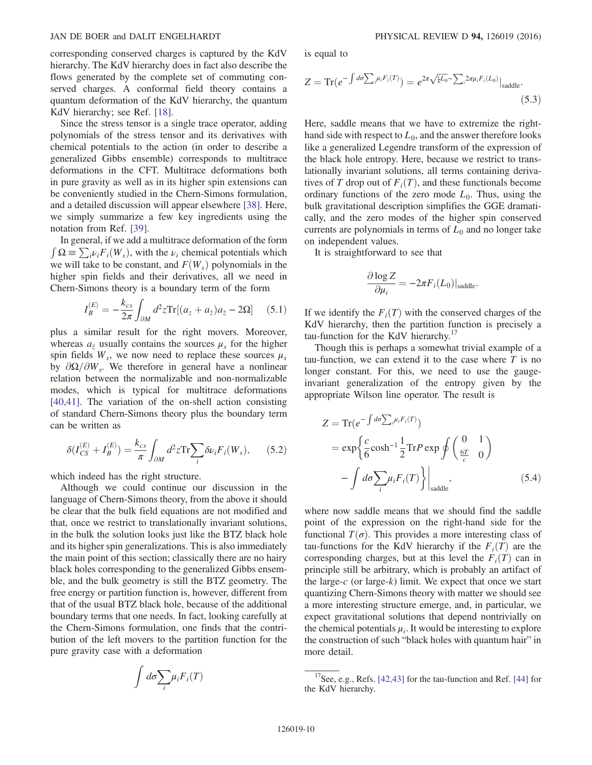corresponding conserved charges is captured by the KdV hierarchy. The KdV hierarchy does in fact also describe the flows generated by the complete set of commuting conserved charges. A conformal field theory contains a quantum deformation of the KdV hierarchy, the quantum KdV hierarchy; see Ref. [\[18\].](#page-12-5)

Since the stress tensor is a single trace operator, adding polynomials of the stress tensor and its derivatives with chemical potentials to the action (in order to describe a generalized Gibbs ensemble) corresponds to multitrace deformations in the CFT. Multitrace deformations both in pure gravity as well as in its higher spin extensions can be conveniently studied in the Chern-Simons formulation, and a detailed discussion will appear elsewhere [\[38\].](#page-12-19) Here, we simply summarize a few key ingredients using the notation from Ref. [\[39\].](#page-12-20)

In general, if we add a multitrace deformation of the form  $\int \Omega = \sum_i \nu_i F_i(W_s)$ , with the  $\nu_i$  chemical potentials which<br>we will take to be constant, and  $F(W_s)$  polynomials in the we will take to be constant, and  $F(W_s)$  polynomials in the higher spin fields and their derivatives, all we need in Chern-Simons theory is a boundary term of the form

$$
I_B^{(E)} = -\frac{k_{cs}}{2\pi} \int_{\partial M} d^2 z \text{Tr}[(a_z + a_{\bar{z}}) a_{\bar{z}} - 2\Omega] \tag{5.1}
$$

plus a similar result for the right movers. Moreover, whereas  $a_{\overline{z}}$  usually contains the sources  $\mu_s$  for the higher spin fields  $W_s$ , we now need to replace these sources  $\mu_s$ by  $\partial \Omega/\partial W_s$ . We therefore in general have a nonlinear relation between the normalizable and non-normalizable modes, which is typical for multitrace deformations [\[40,41\]](#page-12-21). The variation of the on-shell action consisting of standard Chern-Simons theory plus the boundary term can be written as

$$
\delta(I_{CS}^{(E)} + I_B^{(E)}) = \frac{k_{cs}}{\pi} \int_{\partial M} d^2 z \text{Tr} \sum_i \delta \nu_i F_i(W_s), \qquad (5.2)
$$

which indeed has the right structure.

Although we could continue our discussion in the language of Chern-Simons theory, from the above it should be clear that the bulk field equations are not modified and that, once we restrict to translationally invariant solutions, in the bulk the solution looks just like the BTZ black hole and its higher spin generalizations. This is also immediately the main point of this section; classically there are no hairy black holes corresponding to the generalized Gibbs ensemble, and the bulk geometry is still the BTZ geometry. The free energy or partition function is, however, different from that of the usual BTZ black hole, because of the additional boundary terms that one needs. In fact, looking carefully at the Chern-Simons formulation, one finds that the contribution of the left movers to the partition function for the pure gravity case with a deformation

$$
\int d\sigma \sum_i \mu_i F_i(T)
$$

is equal to

$$
Z = \text{Tr}(e^{-\int d\sigma \sum_{i} \mu_i F_i(T)}) = e^{2\pi \sqrt{\frac{L}{6}L_0} - \sum_{i} 2\pi \mu_i F_i(L_0)} |\text{saddle.}
$$
\n(5.3)

Here, saddle means that we have to extremize the righthand side with respect to  $L_0$ , and the answer therefore looks like a generalized Legendre transform of the expression of the black hole entropy. Here, because we restrict to translationally invariant solutions, all terms containing derivatives of T drop out of  $F_i(T)$ , and these functionals become ordinary functions of the zero mode  $L_0$ . Thus, using the bulk gravitational description simplifies the GGE dramatically, and the zero modes of the higher spin conserved currents are polynomials in terms of  $L_0$  and no longer take on independent values.

It is straightforward to see that

$$
\frac{\partial \log Z}{\partial \mu_i} = -2\pi F_i(L_0)|_{\rm saddle}.
$$

If we identify the  $F_i(T)$  with the conserved charges of the KdV hierarchy, then the partition function is precisely a tau-function for the KdV hierarchy.<sup>17</sup>

Though this is perhaps a somewhat trivial example of a tau-function, we can extend it to the case where  $T$  is no longer constant. For this, we need to use the gaugeinvariant generalization of the entropy given by the appropriate Wilson line operator. The result is

$$
Z = \text{Tr}(e^{-\int d\sigma \sum_{i} \mu_{i} F_{i}(T)})
$$
  
=  $\exp\left\{\frac{c}{6} \cosh^{-1} \frac{1}{2} \text{Tr} P \exp \oint \left(\frac{0}{\frac{6T}{c}} - \frac{1}{0}\right) - \int d\sigma \sum_{i} \mu_{i} F_{i}(T)\right\}\Big|_{\text{saddle}},$  (5.4)

where now saddle means that we should find the saddle point of the expression on the right-hand side for the functional  $T(\sigma)$ . This provides a more interesting class of tau-functions for the KdV hierarchy if the  $F_i(T)$  are the corresponding charges, but at this level the  $F_i(T)$  can in principle still be arbitrary, which is probably an artifact of the large-c (or large-k) limit. We expect that once we start quantizing Chern-Simons theory with matter we should see a more interesting structure emerge, and, in particular, we expect gravitational solutions that depend nontrivially on the chemical potentials  $\mu_i$ . It would be interesting to explore the construction of such "black holes with quantum hair" in more detail.

<sup>&</sup>lt;sup>17</sup>See, e.g., Refs. [\[42,43\]](#page-12-22) for the tau-function and Ref. [\[44\]](#page-13-0) for the KdV hierarchy.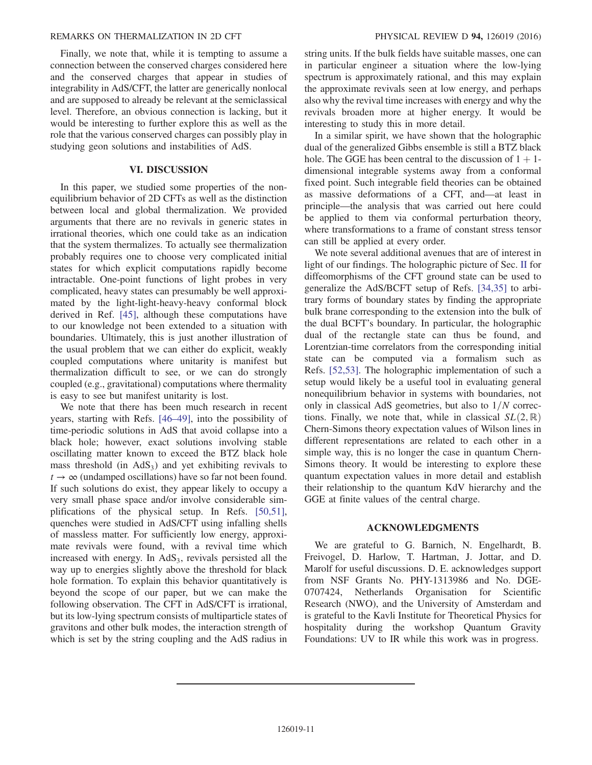## REMARKS ON THERMALIZATION IN 2D CFT PHYSICAL REVIEW D 94, 126019 (2016)

Finally, we note that, while it is tempting to assume a connection between the conserved charges considered here and the conserved charges that appear in studies of integrability in AdS/CFT, the latter are generically nonlocal and are supposed to already be relevant at the semiclassical level. Therefore, an obvious connection is lacking, but it would be interesting to further explore this as well as the role that the various conserved charges can possibly play in studying geon solutions and instabilities of AdS.

## VI. DISCUSSION

<span id="page-11-0"></span>In this paper, we studied some properties of the nonequilibrium behavior of 2D CFTs as well as the distinction between local and global thermalization. We provided arguments that there are no revivals in generic states in irrational theories, which one could take as an indication that the system thermalizes. To actually see thermalization probably requires one to choose very complicated initial states for which explicit computations rapidly become intractable. One-point functions of light probes in very complicated, heavy states can presumably be well approximated by the light-light-heavy-heavy conformal block derived in Ref. [\[45\],](#page-13-1) although these computations have to our knowledge not been extended to a situation with boundaries. Ultimately, this is just another illustration of the usual problem that we can either do explicit, weakly coupled computations where unitarity is manifest but thermalization difficult to see, or we can do strongly coupled (e.g., gravitational) computations where thermality is easy to see but manifest unitarity is lost.

We note that there has been much research in recent years, starting with Refs. [\[46](#page-13-2)–49], into the possibility of time-periodic solutions in AdS that avoid collapse into a black hole; however, exact solutions involving stable oscillating matter known to exceed the BTZ black hole mass threshold (in  $AdS_3$ ) and yet exhibiting revivals to  $t \rightarrow \infty$  (undamped oscillations) have so far not been found. If such solutions do exist, they appear likely to occupy a very small phase space and/or involve considerable simplifications of the physical setup. In Refs. [\[50,51\]](#page-13-3), quenches were studied in AdS/CFT using infalling shells of massless matter. For sufficiently low energy, approximate revivals were found, with a revival time which increased with energy. In  $AdS<sub>3</sub>$ , revivals persisted all the way up to energies slightly above the threshold for black hole formation. To explain this behavior quantitatively is beyond the scope of our paper, but we can make the following observation. The CFT in AdS/CFT is irrational, but its low-lying spectrum consists of multiparticle states of gravitons and other bulk modes, the interaction strength of which is set by the string coupling and the AdS radius in string units. If the bulk fields have suitable masses, one can in particular engineer a situation where the low-lying spectrum is approximately rational, and this may explain the approximate revivals seen at low energy, and perhaps also why the revival time increases with energy and why the revivals broaden more at higher energy. It would be interesting to study this in more detail.

In a similar spirit, we have shown that the holographic dual of the generalized Gibbs ensemble is still a BTZ black hole. The GGE has been central to the discussion of  $1 + 1$ dimensional integrable systems away from a conformal fixed point. Such integrable field theories can be obtained as massive deformations of a CFT, and—at least in principle—the analysis that was carried out here could be applied to them via conformal perturbation theory, where transformations to a frame of constant stress tensor can still be applied at every order.

We note several additional avenues that are of interest in light of our findings. The holographic picture of Sec. [II](#page-3-0) for diffeomorphisms of the CFT ground state can be used to generalize the AdS/BCFT setup of Refs. [\[34,35\]](#page-12-13) to arbitrary forms of boundary states by finding the appropriate bulk brane corresponding to the extension into the bulk of the dual BCFT's boundary. In particular, the holographic dual of the rectangle state can thus be found, and Lorentzian-time correlators from the corresponding initial state can be computed via a formalism such as Refs. [\[52,53\].](#page-13-4) The holographic implementation of such a setup would likely be a useful tool in evaluating general nonequilibrium behavior in systems with boundaries, not only in classical AdS geometries, but also to  $1/N$  corrections. Finally, we note that, while in classical  $SL(2,\mathbb{R})$ Chern-Simons theory expectation values of Wilson lines in different representations are related to each other in a simple way, this is no longer the case in quantum Chern-Simons theory. It would be interesting to explore these quantum expectation values in more detail and establish their relationship to the quantum KdV hierarchy and the GGE at finite values of the central charge.

#### ACKNOWLEDGMENTS

We are grateful to G. Barnich, N. Engelhardt, B. Freivogel, D. Harlow, T. Hartman, J. Jottar, and D. Marolf for useful discussions. D. E. acknowledges support from NSF Grants No. PHY-1313986 and No. DGE-0707424, Netherlands Organisation for Scientific Research (NWO), and the University of Amsterdam and is grateful to the Kavli Institute for Theoretical Physics for hospitality during the workshop Quantum Gravity Foundations: UV to IR while this work was in progress.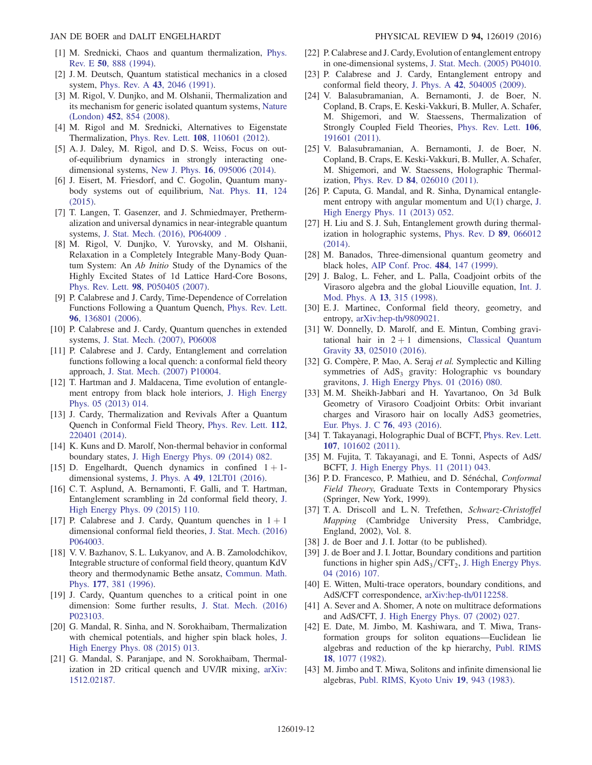- <span id="page-12-0"></span>[1] M. Srednicki, Chaos and quantum thermalization, [Phys.](http://dx.doi.org/10.1103/PhysRevE.50.888) Rev. E 50[, 888 \(1994\).](http://dx.doi.org/10.1103/PhysRevE.50.888)
- [2] J. M. Deutsch, Quantum statistical mechanics in a closed system, Phys. Rev. A 43[, 2046 \(1991\).](http://dx.doi.org/10.1103/PhysRevA.43.2046)
- [3] M. Rigol, V. Dunjko, and M. Olshanii, Thermalization and its mechanism for generic isolated quantum systems, [Nature](http://dx.doi.org/10.1038/nature06838) (London) 452[, 854 \(2008\)](http://dx.doi.org/10.1038/nature06838).
- [4] M. Rigol and M. Srednicki, Alternatives to Eigenstate Thermalization, Phys. Rev. Lett. 108[, 110601 \(2012\).](http://dx.doi.org/10.1103/PhysRevLett.108.110601)
- <span id="page-12-2"></span>[5] A. J. Daley, M. Rigol, and D. S. Weiss, Focus on outof-equilibrium dynamics in strongly interacting onedimensional systems, New J. Phys. 16[, 095006 \(2014\)](http://dx.doi.org/10.1088/1367-2630/16/9/095006).
- [6] J. Eisert, M. Friesdorf, and C. Gogolin, Quantum manybody systems out of equilibrium, [Nat. Phys.](http://dx.doi.org/10.1038/nphys3215) 11, 124 [\(2015\).](http://dx.doi.org/10.1038/nphys3215)
- [7] T. Langen, T. Gasenzer, and J. Schmiedmayer, Prethermalization and universal dynamics in near-integrable quantum systems, [J. Stat. Mech. \(2016\), P064009 .](http://dx.doi.org/10.1088/1742-5468/2016/06/064009)
- <span id="page-12-1"></span>[8] M. Rigol, V. Dunjko, V. Yurovsky, and M. Olshanii, Relaxation in a Completely Integrable Many-Body Quantum System: An Ab Initio Study of the Dynamics of the Highly Excited States of 1d Lattice Hard-Core Bosons, Phys. Rev. Lett. 98[, P050405 \(2007\)](http://dx.doi.org/10.1103/PhysRevLett.98.050405).
- <span id="page-12-3"></span>[9] P. Calabrese and J. Cardy, Time-Dependence of Correlation Functions Following a Quantum Quench, [Phys. Rev. Lett.](http://dx.doi.org/10.1103/PhysRevLett.96.136801) 96[, 136801 \(2006\).](http://dx.doi.org/10.1103/PhysRevLett.96.136801)
- [10] P. Calabrese and J. Cardy, Quantum quenches in extended systems, [J. Stat. Mech. \(2007\), P06008](http://dx.doi.org/10.1088/1742-5468/2007/06/P06008)
- [11] P. Calabrese and J. Cardy, Entanglement and correlation functions following a local quench: a conformal field theory approach, [J. Stat. Mech. \(2007\) P10004.](http://dx.doi.org/10.1088/1742-5468/2007/10/P10004)
- [12] T. Hartman and J. Maldacena, Time evolution of entanglement entropy from black hole interiors, [J. High Energy](http://dx.doi.org/10.1007/JHEP05(2013)014) [Phys. 05 \(2013\) 014.](http://dx.doi.org/10.1007/JHEP05(2013)014)
- <span id="page-12-14"></span>[13] J. Cardy, Thermalization and Revivals After a Quantum Quench in Conformal Field Theory, [Phys. Rev. Lett.](http://dx.doi.org/10.1103/PhysRevLett.112.220401) 112, [220401 \(2014\).](http://dx.doi.org/10.1103/PhysRevLett.112.220401)
- <span id="page-12-4"></span>[14] K. Kuns and D. Marolf, Non-thermal behavior in conformal boundary states, [J. High Energy Phys. 09 \(2014\) 082.](http://dx.doi.org/10.1007/JHEP09(2014)082)
- <span id="page-12-17"></span>[15] D. Engelhardt, Quench dynamics in confined  $1 + 1$ dimensional systems, J. Phys. A 49[, 12LT01 \(2016\).](http://dx.doi.org/10.1088/1751-8113/49/12/12LT01)
- <span id="page-12-8"></span>[16] C. T. Asplund, A. Bernamonti, F. Galli, and T. Hartman, Entanglement scrambling in 2d conformal field theory, [J.](http://dx.doi.org/10.1007/JHEP09(2015)110) [High Energy Phys. 09 \(2015\) 110.](http://dx.doi.org/10.1007/JHEP09(2015)110)
- [17] P. Calabrese and J. Cardy, Quantum quenches in  $1 + 1$ dimensional conformal field theories, [J. Stat. Mech. \(2016\)](http://dx.doi.org/10.1088/1742-5468/2016/06/064003) [P064003.](http://dx.doi.org/10.1088/1742-5468/2016/06/064003)
- <span id="page-12-5"></span>[18] V. V. Bazhanov, S. L. Lukyanov, and A. B. Zamolodchikov, Integrable structure of conformal field theory, quantum KdV theory and thermodynamic Bethe ansatz, [Commun. Math.](http://dx.doi.org/10.1007/BF02101898) Phys. 177[, 381 \(1996\).](http://dx.doi.org/10.1007/BF02101898)
- <span id="page-12-6"></span>[19] J. Cardy, Quantum quenches to a critical point in one dimension: Some further results, [J. Stat. Mech. \(2016\)](http://dx.doi.org/10.1088/1742-5468/2016/02/023103) [P023103.](http://dx.doi.org/10.1088/1742-5468/2016/02/023103)
- <span id="page-12-18"></span>[20] G. Mandal, R. Sinha, and N. Sorokhaibam, Thermalization with chemical potentials, and higher spin black holes, [J.](http://dx.doi.org/10.1007/JHEP08(2015)013) [High Energy Phys. 08 \(2015\) 013.](http://dx.doi.org/10.1007/JHEP08(2015)013)
- [21] G. Mandal, S. Paranjape, and N. Sorokhaibam, Thermalization in 2D critical quench and UV/IR mixing, [arXiv:](http://arXiv.org/abs/1512.02187) [1512.02187.](http://arXiv.org/abs/1512.02187)
- [22] P. Calabrese and J. Cardy, Evolution of entanglement entropy in one-dimensional systems, [J. Stat. Mech. \(2005\) P04010.](http://dx.doi.org/10.1088/1742-5468/2005/04/P04010)
- [23] P. Calabrese and J. Cardy, Entanglement entropy and conformal field theory, J. Phys. A 42[, 504005 \(2009\)](http://dx.doi.org/10.1088/1751-8113/42/50/504005).
- <span id="page-12-7"></span>[24] V. Balasubramanian, A. Bernamonti, J. de Boer, N. Copland, B. Craps, E. Keski-Vakkuri, B. Muller, A. Schafer, M. Shigemori, and W. Staessens, Thermalization of Strongly Coupled Field Theories, [Phys. Rev. Lett.](http://dx.doi.org/10.1103/PhysRevLett.106.191601) 106, [191601 \(2011\).](http://dx.doi.org/10.1103/PhysRevLett.106.191601)
- [25] V. Balasubramanian, A. Bernamonti, J. de Boer, N. Copland, B. Craps, E. Keski-Vakkuri, B. Muller, A. Schafer, M. Shigemori, and W. Staessens, Holographic Thermalization, Phys. Rev. D 84[, 026010 \(2011\).](http://dx.doi.org/10.1103/PhysRevD.84.026010)
- [26] P. Caputa, G. Mandal, and R. Sinha, Dynamical entanglement entropy with angular momentum and U(1) charge, [J.](http://dx.doi.org/10.1007/JHEP11(2013)052) [High Energy Phys. 11 \(2013\) 052.](http://dx.doi.org/10.1007/JHEP11(2013)052)
- [27] H. Liu and S. J. Suh, Entanglement growth during thermalization in holographic systems, [Phys. Rev. D](http://dx.doi.org/10.1103/PhysRevD.89.066012) 89, 066012 [\(2014\).](http://dx.doi.org/10.1103/PhysRevD.89.066012)
- <span id="page-12-9"></span>[28] M. Banados, Three-dimensional quantum geometry and black holes, [AIP Conf. Proc.](http://dx.doi.org/10.1063/1.59661) 484, 147 (1999).
- <span id="page-12-12"></span>[29] J. Balog, L. Feher, and L. Palla, Coadjoint orbits of the Virasoro algebra and the global Liouville equation, [Int. J.](http://dx.doi.org/10.1142/S0217751X98000147) [Mod. Phys. A](http://dx.doi.org/10.1142/S0217751X98000147) 13, 315 (1998).
- <span id="page-12-10"></span>[30] E. J. Martinec, Conformal field theory, geometry, and entropy, [arXiv:hep-th/9809021.](http://arXiv.org/abs/hep-th/9809021)
- <span id="page-12-11"></span>[31] W. Donnelly, D. Marolf, and E. Mintun, Combing gravitational hair in  $2 + 1$  dimensions, [Classical Quantum](http://dx.doi.org/10.1088/0264-9381/33/2/025010) Gravity 33[, 025010 \(2016\).](http://dx.doi.org/10.1088/0264-9381/33/2/025010)
- [32] G. Compère, P. Mao, A. Seraj et al. Symplectic and Killing symmetries of  $AdS<sub>3</sub>$  gravity: Holographic vs boundary gravitons, [J. High Energy Phys. 01 \(2016\) 080.](http://dx.doi.org/10.1007/JHEP01(2016)080)
- [33] M. M. Sheikh-Jabbari and H. Yavartanoo, On 3d Bulk Geometry of Virasoro Coadjoint Orbits: Orbit invariant charges and Virasoro hair on locally AdS3 geometries, [Eur. Phys. J. C](http://dx.doi.org/10.1140/epjc/s10052-016-4326-z) 76, 493 (2016).
- <span id="page-12-13"></span>[34] T. Takayanagi, Holographic Dual of BCFT, [Phys. Rev. Lett.](http://dx.doi.org/10.1103/PhysRevLett.107.101602) 107[, 101602 \(2011\).](http://dx.doi.org/10.1103/PhysRevLett.107.101602)
- [35] M. Fujita, T. Takayanagi, and E. Tonni, Aspects of AdS/ BCFT, [J. High Energy Phys. 11 \(2011\) 043.](http://dx.doi.org/10.1007/JHEP11(2011)043)
- <span id="page-12-15"></span>[36] P. D. Francesco, P. Mathieu, and D. Sénéchal, Conformal Field Theory, Graduate Texts in Contemporary Physics (Springer, New York, 1999).
- <span id="page-12-16"></span>[37] T. A. Driscoll and L. N. Trefethen, Schwarz-Christoffel Mapping (Cambridge University Press, Cambridge, England, 2002), Vol. 8.
- <span id="page-12-19"></span>[38] J. de Boer and J. I. Jottar (to be published).
- <span id="page-12-20"></span>[39] J. de Boer and J. I. Jottar, Boundary conditions and partition functions in higher spin  $AdS_3/CFT_2$ , [J. High Energy Phys.](http://dx.doi.org/10.1007/JHEP04(2016)107) [04 \(2016\) 107.](http://dx.doi.org/10.1007/JHEP04(2016)107)
- <span id="page-12-21"></span>[40] E. Witten, Multi-trace operators, boundary conditions, and AdS/CFT correspondence, [arXiv:hep-th/0112258.](http://arXiv.org/abs/hep-th/0112258)
- [41] A. Sever and A. Shomer, A note on multitrace deformations and AdS/CFT, [J. High Energy Phys. 07 \(2002\) 027.](http://dx.doi.org/10.1088/1126-6708/2002/07/027)
- <span id="page-12-22"></span>[42] E. Date, M. Jimbo, M. Kashiwara, and T. Miwa, Transformation groups for soliton equations—Euclidean lie algebras and reduction of the kp hierarchy, [Publ. RIMS](http://dx.doi.org/10.2977/prims/1195183297) 18[, 1077 \(1982\)](http://dx.doi.org/10.2977/prims/1195183297).
- [43] M. Jimbo and T. Miwa, Solitons and infinite dimensional lie algebras, [Publ. RIMS, Kyoto Univ](http://dx.doi.org/10.2977/prims/1195182017) 19, 943 (1983).